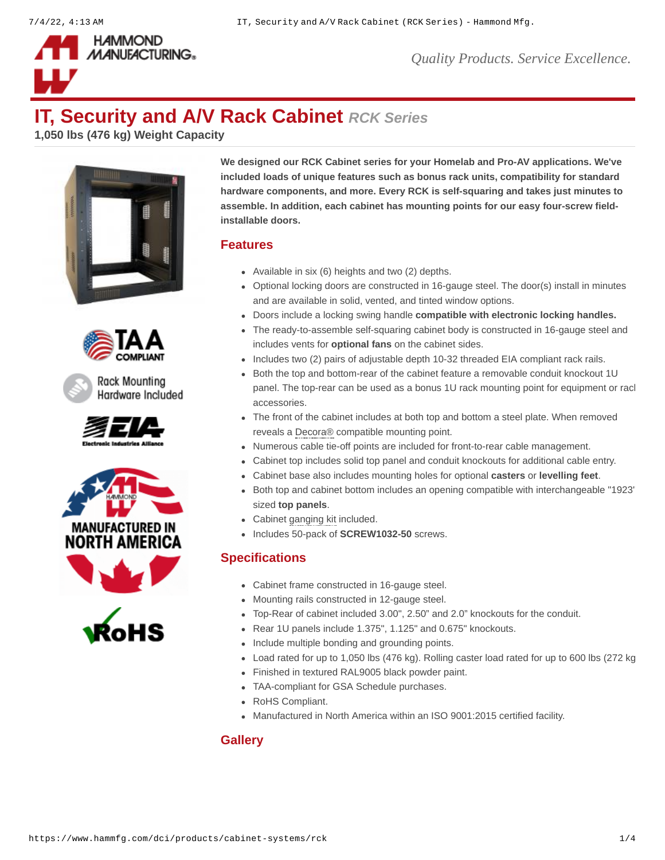

*Quality Products. Service Excellence.*

# **IT, Security and A/V Rack Cabinet** *RCK Series*

**1,050 lbs (476 kg) Weight Capacity**











**We designed our RCK Cabinet series for your Homelab and Pro-AV applications. We've included loads of unique features such as bonus rack units, compatibility for standard hardware components, and more. Every RCK is self-squaring and takes just minutes to assemble. In addition, each cabinet has mounting points for our easy four-screw fieldinstallable doors.**

#### **Features**

- Available in six (6) heights and two (2) depths.
- Optional locking doors are constructed in 16-gauge steel. The door(s) install in minutes and are available in solid, vented, and tinted window options.
- Doors include a locking swing handle **[compatible with electronic locking handles.](https://www.hammfg.com/product/dlrk)**
- The ready-to-assemble self-squaring cabinet body is constructed in 16-gauge steel and includes vents for **[optional fans](https://www.hammfg.com/product/fk)** on the cabinet sides.
- Includes two (2) pairs of adjustable depth 10-32 threaded EIA compliant rack rails.
- Both the top and bottom-rear of the cabinet feature a removable conduit knockout 1U panel. The top-rear can be used as a bonus 1U rack mounting point for equipment or racl accessories.
- The front of the cabinet includes at both top and bottom a steel plate. When removed reveals a Decora® compatible mounting point.
- Numerous cable tie-off points are included for front-to-rear cable management.
- Cabinet top includes solid top panel and conduit knockouts for additional cable entry.
- Cabinet base also includes mounting holes for optional **[casters](https://www.hammfg.com/product/1425bh)** or **[levelling feet](https://www.hammfg.com/product/clfk)**.
- Both top and cabinet bottom includes an opening compatible with interchangeable "1923"  $\bullet$ sized **[top panels](https://www.hammfg.com/dci/products/accessories/top-panels)**.
- Cabinet ganging kit included.
- Includes 50-pack of **[SCREW1032-50](https://www.hammfg.com/part/SCREW1032-50)** screws.  $\bullet$

#### **Specifications**

- Cabinet frame constructed in 16-gauge steel.
- Mounting rails constructed in 12-gauge steel.
- Top-Rear of cabinet included 3.00", 2.50" and 2.0" knockouts for the conduit.
- Rear 1U panels include 1.375", 1.125" and 0.675" knockouts.
- Include multiple bonding and grounding points.
- Load rated for up to 1,050 lbs (476 kg). Rolling caster load rated for up to 600 lbs (272 kg
- Finished in textured RAL9005 black powder paint.
- TAA-compliant for GSA Schedule purchases.
- RoHS Compliant.
- Manufactured in North America within an ISO 9001:2015 certified facility.

#### **Gallery**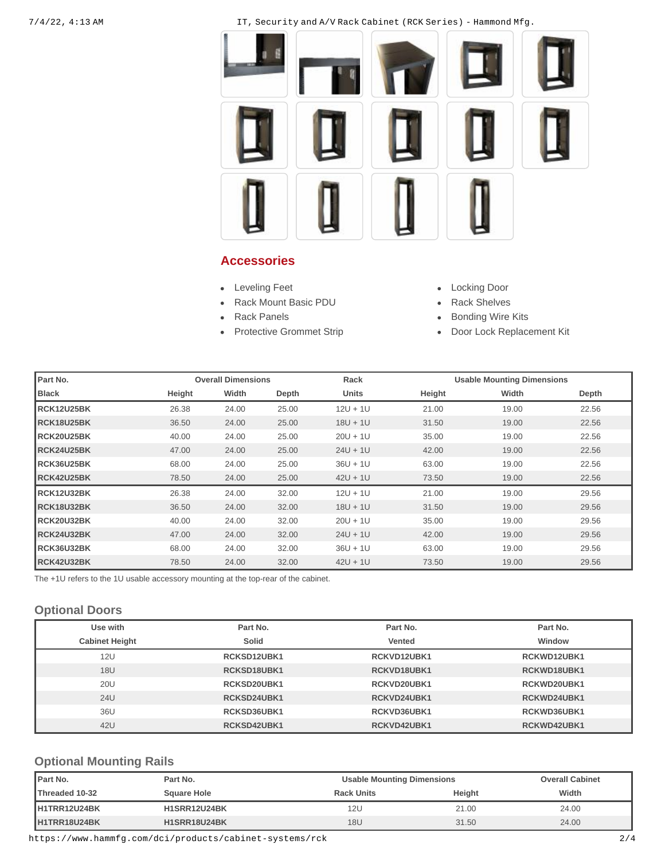7/4/22, 4:13 AM IT, Security and A/V Rack Cabinet (RCK Series) - Hammond Mfg.



#### **Accessories**

- [Leveling Feet](https://www.hammfg.com/dci/products/accessories/clfk?referer=1578&itm_type=accessory) **Leveling Feet COLLEGATE**
- [Rack Mount Basic PDU](https://www.hammfg.com/electronics/outlet-strips/rack-mount/1582?referer=1578&itm_type=accessory) **[Rack Shelves](https://www.hammfg.com/dci/products/accessories/shelves?referer=1578&itm_type=accessory)**  $\blacksquare$
- 
- 
- 
- 
- [Rack Panels](https://www.hammfg.com/dci/products/accessories/panels?referer=1578&itm_type=accessory) **[Bonding Wire Kits](https://www.hammfg.com/electrical/products/accessories/grdkit?referer=1578&itm_type=accessory)**
- [Protective Grommet Strip](https://www.hammfg.com/dci/products/accessories/cgg?referer=1578&itm_type=accessory) **[Door Lock Replacement Kit](https://www.hammfg.com/dci/products/accessories/dlrk?referer=1578&itm_type=accessory)**

| Part No.          |        | <b>Overall Dimensions</b> |       | Rack       |        | <b>Usable Mounting Dimensions</b> |       |
|-------------------|--------|---------------------------|-------|------------|--------|-----------------------------------|-------|
| <b>Black</b>      | Height | Width                     | Depth | Units      | Height | Width                             | Depth |
| RCK12U25BK        | 26.38  | 24.00                     | 25.00 | $12U + 1U$ | 21.00  | 19.00                             | 22.56 |
| RCK18U25BK        | 36.50  | 24.00                     | 25.00 | $18U + 1U$ | 31.50  | 19.00                             | 22.56 |
| RCK20U25BK        | 40.00  | 24.00                     | 25.00 | $20U + 1U$ | 35.00  | 19.00                             | 22.56 |
| RCK24U25BK        | 47.00  | 24.00                     | 25.00 | $24U + 1U$ | 42.00  | 19.00                             | 22.56 |
| RCK36U25BK        | 68.00  | 24.00                     | 25.00 | $36U + 1U$ | 63.00  | 19.00                             | 22.56 |
| <b>RCK42U25BK</b> | 78.50  | 24.00                     | 25.00 | $42U + 1U$ | 73.50  | 19.00                             | 22.56 |
| RCK12U32BK        | 26.38  | 24.00                     | 32.00 | $12U + 1U$ | 21.00  | 19.00                             | 29.56 |
| RCK18U32BK        | 36.50  | 24.00                     | 32.00 | $18U + 1U$ | 31.50  | 19.00                             | 29.56 |
| RCK20U32BK        | 40.00  | 24.00                     | 32.00 | $20U + 1U$ | 35.00  | 19.00                             | 29.56 |
| RCK24U32BK        | 47.00  | 24.00                     | 32.00 | $24U + 1U$ | 42.00  | 19.00                             | 29.56 |
| RCK36U32BK        | 68.00  | 24.00                     | 32.00 | $36U + 1U$ | 63.00  | 19.00                             | 29.56 |
| RCK42U32BK        | 78.50  | 24.00                     | 32.00 | $42U + 1U$ | 73.50  | 19.00                             | 29.56 |

The +1U refers to the 1U usable accessory mounting at the top-rear of the cabinet.

#### **Optional Doors**

| Use with              | Part No.    | Part No.    | Part No.    |
|-----------------------|-------------|-------------|-------------|
| <b>Cabinet Height</b> | Solid       | Vented      | Window      |
| 12U                   | RCKSD12UBK1 | RCKVD12UBK1 | RCKWD12UBK1 |
| <b>18U</b>            | RCKSD18UBK1 | RCKVD18UBK1 | RCKWD18UBK1 |
| 20U                   | RCKSD20UBK1 | RCKVD20UBK1 | RCKWD20UBK1 |
| 24U                   | RCKSD24UBK1 | RCKVD24UBK1 | RCKWD24UBK1 |
| 36U                   | RCKSD36UBK1 | RCKVD36UBK1 | RCKWD36UBK1 |
| 42U                   | RCKSD42UBK1 | RCKVD42UBK1 | RCKWD42UBK1 |

### **Optional Mounting Rails**

| Part No.              | Part No.           | <b>Usable Mounting Dimensions</b> | <b>Overall Cabinet</b> |       |
|-----------------------|--------------------|-----------------------------------|------------------------|-------|
| <b>Threaded 10-32</b> | <b>Square Hole</b> | <b>Rack Units</b>                 | Height                 | Width |
| H1TRR12U24BK          | H1SRR12U24BK       | 12U                               | 21.00                  | 24.00 |
| H1TRR18U24BK          | H1SRR18U24BK       | 18U                               | 31.50                  | 24.00 |

https://www.hammfg.com/dci/products/cabinet-systems/rck 2/4